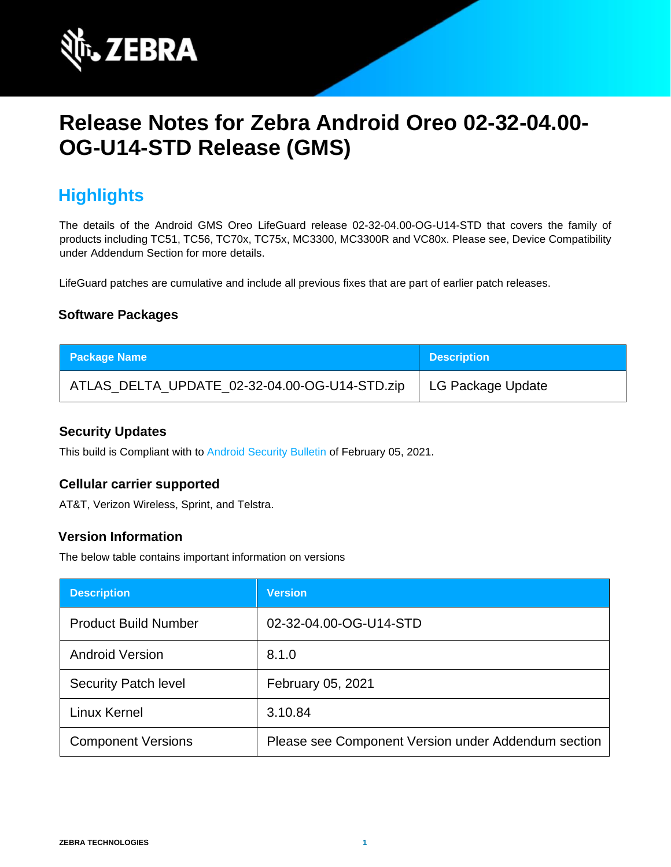

# **Release Notes for Zebra Android Oreo 02-32-04.00- OG-U14-STD Release (GMS)**

## **Highlights**

The details of the Android GMS Oreo LifeGuard release 02-32-04.00-OG-U14-STD that covers the family of products including TC51, TC56, TC70x, TC75x, MC3300, MC3300R and VC80x. Please see, Device Compatibility under Addendum Section for more details.

LifeGuard patches are cumulative and include all previous fixes that are part of earlier patch releases.

### **Software Packages**

| <b>Package Name</b>                           | <b>Description</b> |
|-----------------------------------------------|--------------------|
| ATLAS_DELTA_UPDATE_02-32-04.00-OG-U14-STD.zip | LG Package Update  |

#### **Security Updates**

This build is Compliant with to [Android Security Bulletin](https://source.android.com/security/bulletin/) [o](https://source.android.com/security/bulletin/)f February 05, 2021.

#### **Cellular carrier supported**

AT&T, Verizon Wireless, Sprint, and Telstra.

#### **Version Information**

The below table contains important information on versions

| <b>Description</b>          | <b>Version</b>                                      |
|-----------------------------|-----------------------------------------------------|
| <b>Product Build Number</b> | 02-32-04.00-OG-U14-STD                              |
| <b>Android Version</b>      | 8.1.0                                               |
| <b>Security Patch level</b> | February 05, 2021                                   |
| Linux Kernel                | 3.10.84                                             |
| <b>Component Versions</b>   | Please see Component Version under Addendum section |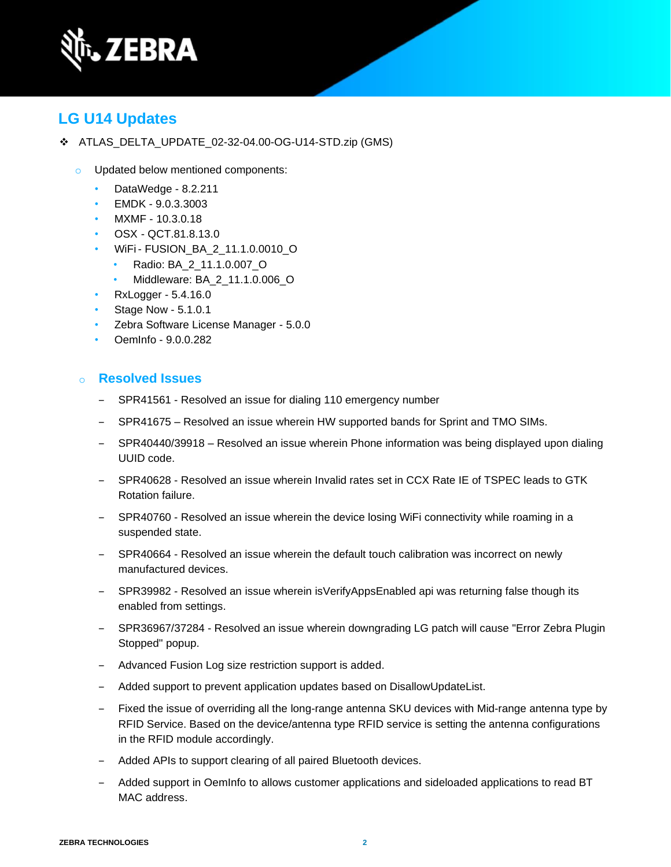

## **LG U14 Updates**

- ❖ ATLAS\_DELTA\_UPDATE\_02-32-04.00-OG-U14-STD.zip (GMS)
	- o Updated below mentioned components:
		- DataWedge 8.2.211
		- EMDK 9.0.3.3003
		- MXMF 10.3.0.18
		- OSX QCT.81.8.13.0
		- WiFi- FUSION\_BA\_2\_11.1.0.0010\_O
			- Radio: BA\_2\_11.1.0.007\_O
			- Middleware: BA\_2\_11.1.0.006\_O
		- RxLogger 5.4.16.0
		- Stage Now 5.1.0.1
		- Zebra Software License Manager 5.0.0
		- OemInfo 9.0.0.282

#### o **Resolved Issues**

- SPR41561 Resolved an issue for dialing 110 emergency number
- SPR41675 Resolved an issue wherein HW supported bands for Sprint and TMO SIMs.
- ‒ SPR40440/39918 Resolved an issue wherein Phone information was being displayed upon dialing UUID code.
- ‒ SPR40628 Resolved an issue wherein Invalid rates set in CCX Rate IE of TSPEC leads to GTK Rotation failure.
- SPR40760 Resolved an issue wherein the device losing WiFi connectivity while roaming in a suspended state.
- SPR40664 Resolved an issue wherein the default touch calibration was incorrect on newly manufactured devices.
- SPR39982 Resolved an issue wherein isVerifyAppsEnabled api was returning false though its enabled from settings.
- ‒ SPR36967/37284 Resolved an issue wherein downgrading LG patch will cause "Error Zebra Plugin Stopped" popup.
- Advanced Fusion Log size restriction support is added.
- Added support to prevent application updates based on DisallowUpdateList.
- ‒ Fixed the issue of overriding all the long-range antenna SKU devices with Mid-range antenna type by RFID Service. Based on the device/antenna type RFID service is setting the antenna configurations in the RFID module accordingly.
- Added APIs to support clearing of all paired Bluetooth devices.
- ‒ Added support in OemInfo to allows customer applications and sideloaded applications to read BT MAC address.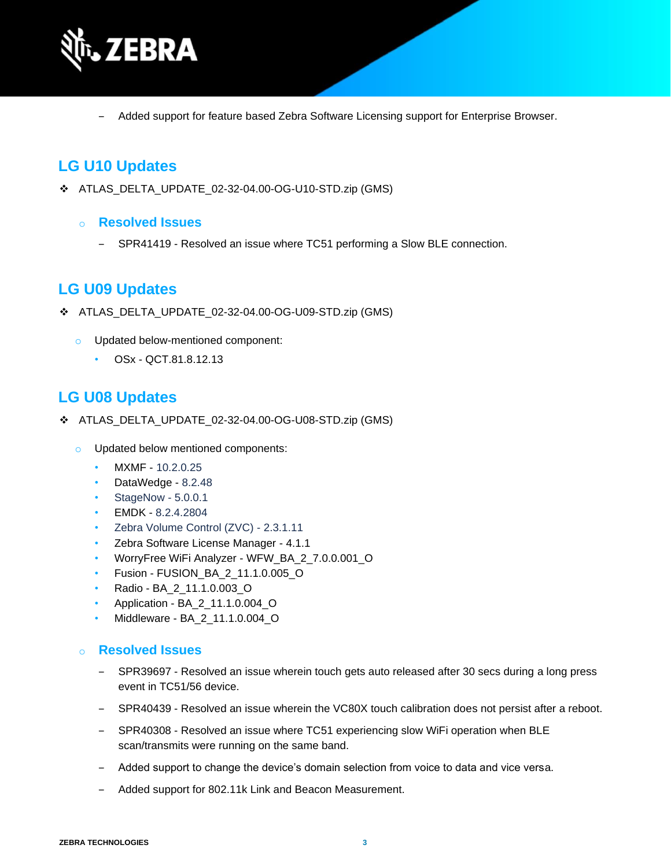

‒ Added support for feature based Zebra Software Licensing support for Enterprise Browser.

## **LG U10 Updates**

- ❖ ATLAS\_DELTA\_UPDATE\_02-32-04.00-OG-U10-STD.zip (GMS)
	- o **Resolved Issues**
		- SPR41419 Resolved an issue where TC51 performing a Slow BLE connection.

## **LG U09 Updates**

- ❖ ATLAS\_DELTA\_UPDATE\_02-32-04.00-OG-U09-STD.zip (GMS)
	- o Updated below-mentioned component:
		- OSx QCT.81.8.12.13

### **LG U08 Updates**

- ❖ ATLAS\_DELTA\_UPDATE\_02-32-04.00-OG-U08-STD.zip (GMS)
	- o Updated below mentioned components:
		- MXMF 10.2.0.25
		- DataWedge 8.2.48
		- StageNow 5.0.0.1
		- EMDK 8.2.4.2804
		- Zebra Volume Control (ZVC) 2.3.1.11
		- Zebra Software License Manager 4.1.1
		- WorryFree WiFi Analyzer WFW\_BA\_2\_7.0.0.001\_O
		- Fusion FUSION\_BA\_2\_11.1.0.005\_O
		- Radio BA\_2\_11.1.0.003\_O
		- Application BA\_2\_11.1.0.004\_O
		- Middleware BA\_2\_11.1.0.004\_O

#### o **Resolved Issues**

- ‒ SPR39697 Resolved an issue wherein touch gets auto released after 30 secs during a long press event in TC51/56 device.
- ‒ SPR40439 Resolved an issue wherein the VC80X touch calibration does not persist after a reboot.
- ‒ SPR40308 Resolved an issue where TC51 experiencing slow WiFi operation when BLE scan/transmits were running on the same band.
- ‒ Added support to change the device's domain selection from voice to data and vice versa.
- Added support for 802.11k Link and Beacon Measurement.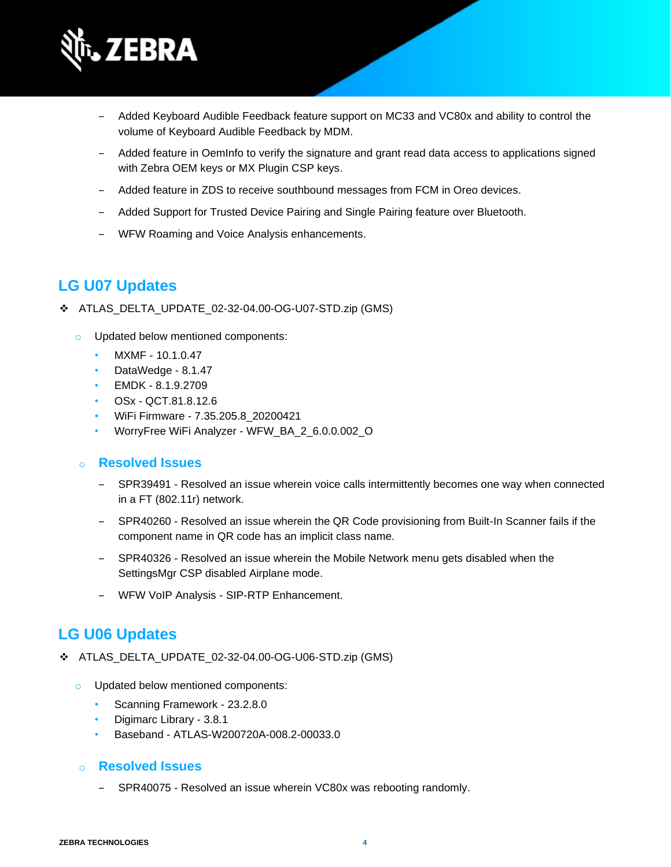

- ‒ Added Keyboard Audible Feedback feature support on MC33 and VC80x and ability to control the volume of Keyboard Audible Feedback by MDM.
- ‒ Added feature in OemInfo to verify the signature and grant read data access to applications signed with Zebra OEM keys or MX Plugin CSP keys.
- ‒ Added feature in ZDS to receive southbound messages from FCM in Oreo devices.
- Added Support for Trusted Device Pairing and Single Pairing feature over Bluetooth.
- ‒ WFW Roaming and Voice Analysis enhancements.

## **LG U07 Updates**

- ❖ ATLAS\_DELTA\_UPDATE\_02-32-04.00-OG-U07-STD.zip (GMS)
	- o Updated below mentioned components:
		- MXMF 10.1.0.47
		- DataWedge 8.1.47
		- EMDK 8.1.9.2709
		- OSx QCT.81.8.12.6
		- WiFi Firmware 7.35.205.8\_20200421
		- WorryFree WiFi Analyzer WFW\_BA\_2\_6.0.0.002\_O

### o **Resolved Issues**

- ‒ SPR39491 Resolved an issue wherein voice calls intermittently becomes one way when connected in a FT (802.11r) network.
- ‒ SPR40260 Resolved an issue wherein the QR Code provisioning from Built-In Scanner fails if the component name in QR code has an implicit class name.
- ‒ SPR40326 Resolved an issue wherein the Mobile Network menu gets disabled when the SettingsMgr CSP disabled Airplane mode.
- ‒ WFW VoIP Analysis SIP-RTP Enhancement.

## **LG U06 Updates**

- ❖ ATLAS\_DELTA\_UPDATE\_02-32-04.00-OG-U06-STD.zip (GMS)
	- o Updated below mentioned components:
		- Scanning Framework 23.2.8.0
		- Digimarc Library 3.8.1
		- Baseband ATLAS-W200720A-008.2-00033.0

### o **Resolved Issues**

SPR40075 - Resolved an issue wherein VC80x was rebooting randomly.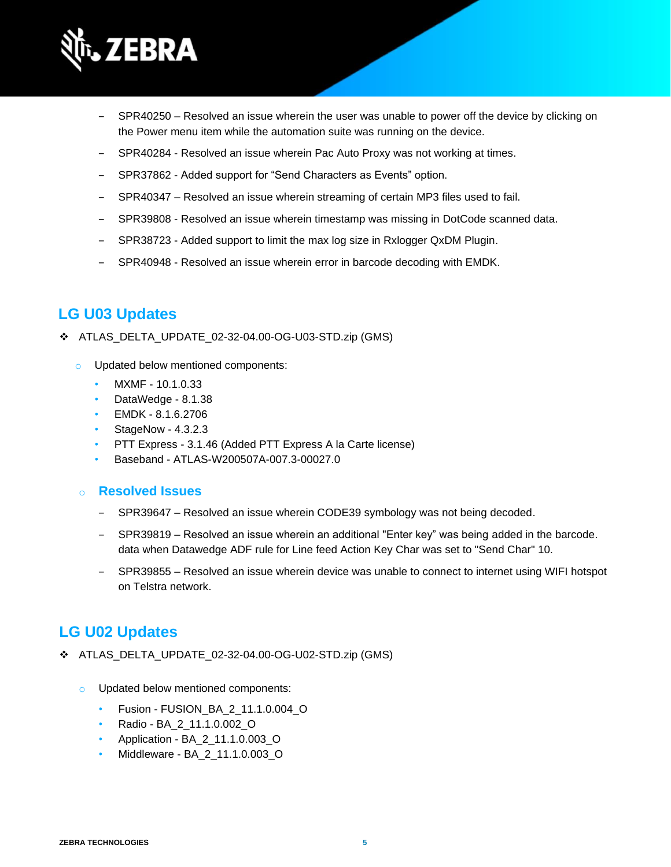

- SPR40250 Resolved an issue wherein the user was unable to power off the device by clicking on the Power menu item while the automation suite was running on the device.
- ‒ SPR40284 Resolved an issue wherein Pac Auto Proxy was not working at times.
- SPR37862 Added support for "Send Characters as Events" option.
- SPR40347 Resolved an issue wherein streaming of certain MP3 files used to fail.
- ‒ SPR39808 Resolved an issue wherein timestamp was missing in DotCode scanned data.
- SPR38723 Added support to limit the max log size in Rxlogger QxDM Plugin.
- SPR40948 Resolved an issue wherein error in barcode decoding with EMDK.

## **LG U03 Updates**

- ❖ ATLAS\_DELTA\_UPDATE\_02-32-04.00-OG-U03-STD.zip (GMS)
	- o Updated below mentioned components:
		- MXMF 10.1.0.33
		- DataWedge 8.1.38
		- EMDK 8.1.6.2706
		- StageNow 4.3.2.3
		- PTT Express 3.1.46 (Added PTT Express A la Carte license)
		- Baseband ATLAS-W200507A-007.3-00027.0

#### o **Resolved Issues**

- ‒ SPR39647 Resolved an issue wherein CODE39 symbology was not being decoded.
- ‒ SPR39819 Resolved an issue wherein an additional "Enter key" was being added in the barcode. data when Datawedge ADF rule for Line feed Action Key Char was set to "Send Char" 10.
- ‒ SPR39855 Resolved an issue wherein device was unable to connect to internet using WIFI hotspot on Telstra network.

## **LG U02 Updates**

- ❖ ATLAS\_DELTA\_UPDATE\_02-32-04.00-OG-U02-STD.zip (GMS)
	- o Updated below mentioned components:
		- Fusion FUSION\_BA\_2\_11.1.0.004\_O
		- Radio BA\_2\_11.1.0.002\_O
		- Application BA\_2\_11.1.0.003\_O
		- Middleware BA\_2\_11.1.0.003\_O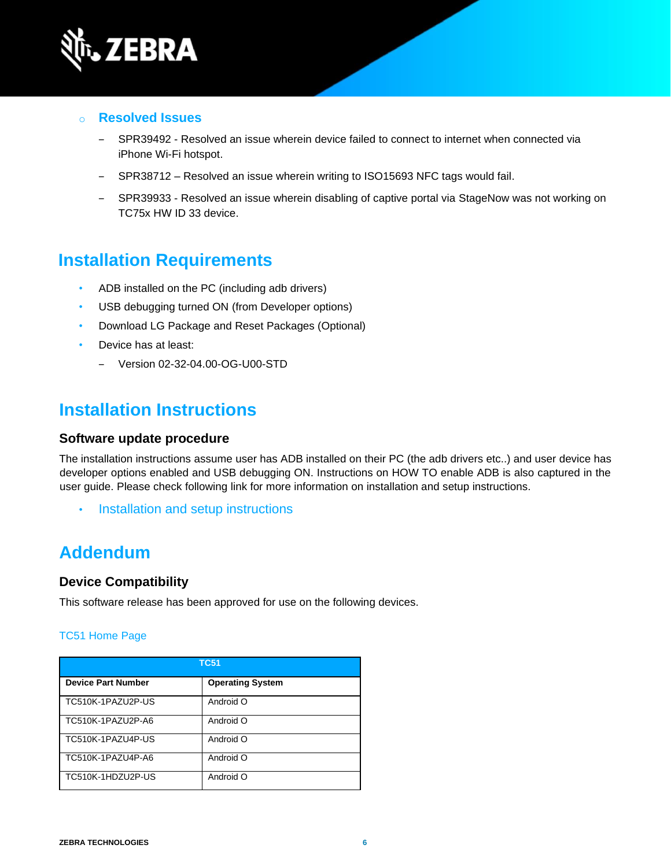

#### o **Resolved Issues**

- SPR39492 Resolved an issue wherein device failed to connect to internet when connected via iPhone Wi-Fi hotspot.
- ‒ SPR38712 Resolved an issue wherein writing to ISO15693 NFC tags would fail.
- SPR39933 Resolved an issue wherein disabling of captive portal via StageNow was not working on TC75x HW ID 33 device.

## **Installation Requirements**

- ADB installed on the PC (including adb drivers)
- USB debugging turned ON (from Developer options)
- Download LG Package and Reset Packages (Optional)
- Device has at least:
	- ‒ Version 02-32-04.00-OG-U00-STD

## **Installation Instructions**

#### **Software update procedure**

The installation instructions assume user has ADB installed on their PC (the adb drivers etc..) and user device has developer options enabled and USB debugging ON. Instructions on HOW TO enable ADB is also captured in the user guide. Please check following link for more information on installation and setup instructions.

• [Installation and setup instructions](https://www.zebra.com/content/dam/zebra_new_ia/en-us/software/operating-system/tc5x-tc7x-shared-operating-system/atlas_oreo-os-update-instructions.pdf)

## **Addendum**

#### **Device Compatibility**

This software release has been approved for use on the following devices.

#### [TC51 Home Page](https://www.zebra.com/us/en/support-downloads/mobile-computers/handheld/tc51.html)

| <b>TC51</b>               |                         |  |
|---------------------------|-------------------------|--|
| <b>Device Part Number</b> | <b>Operating System</b> |  |
| TC510K-1PAZU2P-US         | Android O               |  |
| TC510K-1PAZU2P-A6         | Android O               |  |
| TC510K-1PAZU4P-US         | Android O               |  |
| TC510K-1PAZU4P-A6         | Android O               |  |
| TC510K-1HDZU2P-US         | Android O               |  |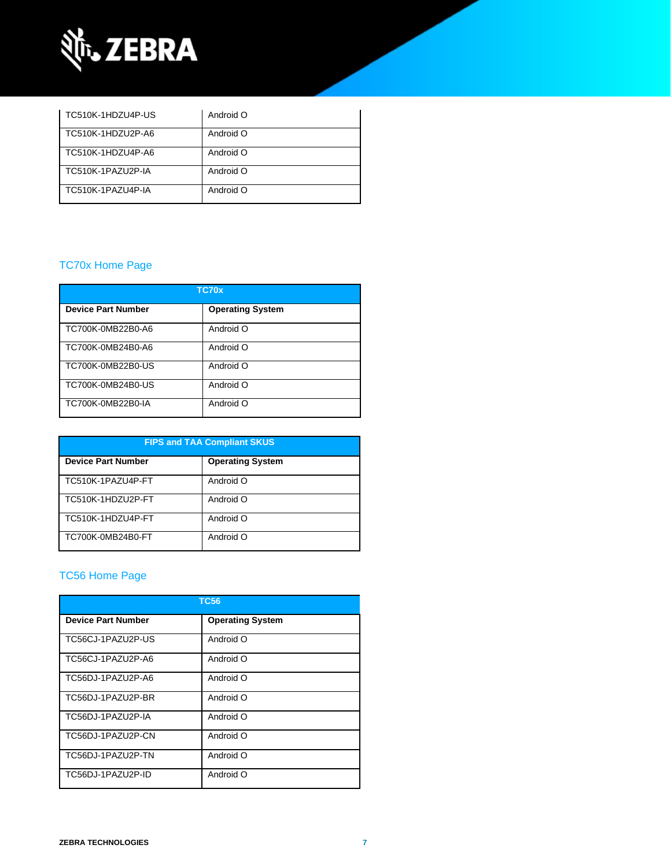

| TC510K-1HDZU4P-US | Android O |
|-------------------|-----------|
| TC510K-1HDZU2P-A6 | Android O |
| TC510K-1HDZU4P-A6 | Android O |
| TC510K-1PAZU2P-IA | Android O |
| TC510K-1PAZU4P-IA | Android O |

### [TC70x Home Page](https://www.zebra.com/us/en/support-downloads/mobile-computers/handheld/tc70x.html)

| TC70x                     |                         |  |
|---------------------------|-------------------------|--|
| <b>Device Part Number</b> | <b>Operating System</b> |  |
| TC700K-0MB22B0-A6         | Android O               |  |
| TC700K-0MB24B0-A6         | Android O               |  |
| TC700K-0MB22B0-US         | Android O               |  |
| TC700K-0MB24B0-US         | Android O               |  |
| TC700K-0MB22B0-IA         | Android O               |  |

| <b>FIPS and TAA Compliant SKUS</b> |                         |  |
|------------------------------------|-------------------------|--|
| <b>Device Part Number</b>          | <b>Operating System</b> |  |
| TC510K-1PAZU4P-FT                  | Android O               |  |
| TC510K-1HDZU2P-FT                  | Android O               |  |
| TC510K-1HDZU4P-FT                  | Android O               |  |
| TC700K-0MB24B0-FT                  | Android O               |  |

### [TC56 Home Page](https://www.zebra.com/us/en/support-downloads/mobile-computers/handheld/tc56.html)

| <b>TC56</b>               |                         |  |
|---------------------------|-------------------------|--|
| <b>Device Part Number</b> | <b>Operating System</b> |  |
| TC56CJ-1PAZU2P-US         | Android O               |  |
| TC56CJ-1PAZU2P-A6         | Android O               |  |
| TC56DJ-1PAZU2P-A6         | Android O               |  |
| TC56DJ-1PAZU2P-BR         | Android O               |  |
| TC56DJ-1PAZU2P-IA         | Android O               |  |
| TC56DJ-1PAZU2P-CN         | Android O               |  |
| TC56DJ-1PAZU2P-TN         | Android O               |  |
| TC56DJ-1PAZU2P-ID         | Android O               |  |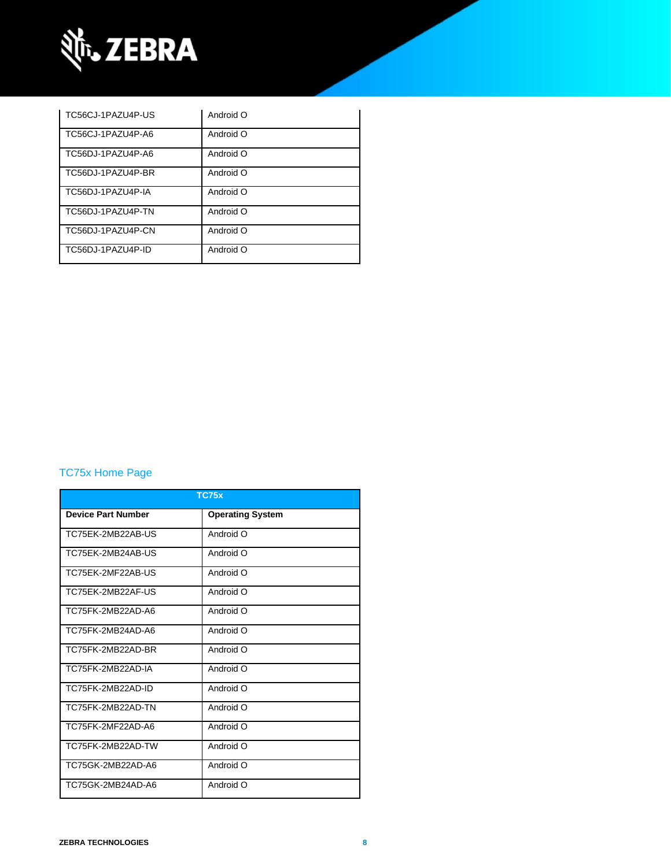

| TC56CJ-1PAZU4P-US | Android O |
|-------------------|-----------|
| TC56CJ-1PAZU4P-A6 | Android O |
| TC56DJ-1PAZU4P-A6 | Android O |
| TC56DJ-1PAZU4P-BR | Android O |
| TC56DJ-1PAZU4P-IA | Android O |
| TC56DJ-1PAZU4P-TN | Android O |
| TC56DJ-1PAZU4P-CN | Android O |
| TC56DJ-1PAZU4P-ID | Android O |

### [TC75x Home Page](https://www.zebra.com/us/en/support-downloads/mobile-computers/handheld/tc75x.html)

| <b>TC75x</b>              |                         |  |
|---------------------------|-------------------------|--|
| <b>Device Part Number</b> | <b>Operating System</b> |  |
| TC75EK-2MB22AB-US         | Android O               |  |
| TC75FK-2MB24AB-US         | Android O               |  |
| TC75EK-2MF22AB-US         | Android O               |  |
| TC75EK-2MB22AF-US         | Android O               |  |
| TC75FK-2MB22AD-A6         | Android O               |  |
| TC75FK-2MB24AD-A6         | Android O               |  |
| TC75FK-2MB22AD-BR         | Android O               |  |
| TC75FK-2MB22AD-IA         | Android O               |  |
| TC75FK-2MB22AD-ID         | Android O               |  |
| TC75FK-2MB22AD-TN         | Android O               |  |
| TC75FK-2MF22AD-A6         | Android O               |  |
| TC75FK-2MB22AD-TW         | Android O               |  |
| TC75GK-2MB22AD-A6         | Android O               |  |
| TC75GK-2MB24AD-A6         | Android O               |  |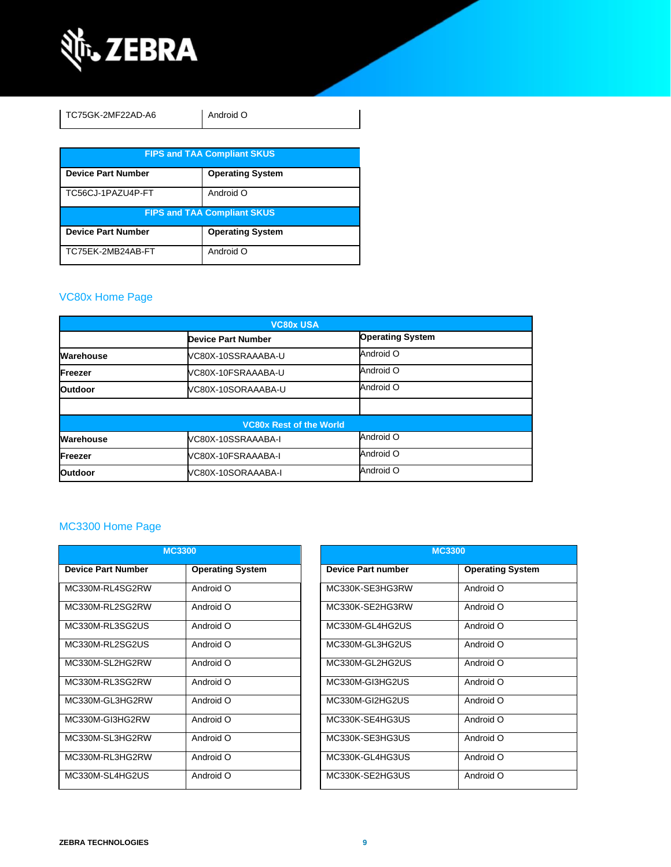

| TC75GK-2MF22AD-A6                  | Android O               |  |
|------------------------------------|-------------------------|--|
| <b>FIPS and TAA Compliant SKUS</b> |                         |  |
| <b>Device Part Number</b>          | <b>Operating System</b> |  |
| TC56CJ-1PAZU4P-FT                  | Android O               |  |
| <b>FIPS and TAA Compliant SKUS</b> |                         |  |
| <b>Device Part Number</b>          | <b>Operating System</b> |  |
| TC75EK-2MB24AB-FT                  | Android O               |  |

### [VC80x Home Page](https://www.zebra.com/us/en/support-downloads/mobile-computers/vehicle-mounted/vc80x.html)

| <b>VC80x USA</b>               |                           |                         |  |
|--------------------------------|---------------------------|-------------------------|--|
|                                | <b>Device Part Number</b> | <b>Operating System</b> |  |
| Warehouse                      | VC80X-10SSRAAABA-U        | Android O               |  |
| <b>Freezer</b>                 | VC80X-10FSRAAABA-U        | Android O               |  |
| <b>Outdoor</b>                 | VC80X-10SORAAABA-U        | Android O               |  |
|                                |                           |                         |  |
| <b>VC80x Rest of the World</b> |                           |                         |  |
| Warehouse                      | VC80X-10SSRAAABA-I        | Android O               |  |
| Freezer                        | VC80X-10FSRAAABA-I        | Android O               |  |
| <b>Outdoor</b>                 | VC80X-10SORAAABA-I        | Android O               |  |

## MC3300 [Home Page](https://www.zebra.com/us/en/support-downloads/mobile-computers/handheld/mc3300.html)

| <b>MC3300</b>             |                         |                           | <b>MC3300</b>           |  |
|---------------------------|-------------------------|---------------------------|-------------------------|--|
| <b>Device Part Number</b> | <b>Operating System</b> | <b>Device Part number</b> | <b>Operating System</b> |  |
| MC330M-RL4SG2RW           | Android O               | MC330K-SE3HG3RW           | Android O               |  |
| MC330M-RL2SG2RW           | Android O               | MC330K-SE2HG3RW           | Android O               |  |
| MC330M-RL3SG2US           | Android O               | MC330M-GL4HG2US           | Android O               |  |
| MC330M-RL2SG2US           | Android O               | MC330M-GL3HG2US           | Android O               |  |
| MC330M-SL2HG2RW           | Android O               | MC330M-GL2HG2US           | Android O               |  |
| MC330M-RL3SG2RW           | Android O               | MC330M-GI3HG2US           | Android O               |  |
| MC330M-GL3HG2RW           | Android O               | MC330M-GI2HG2US           | Android O               |  |
| MC330M-GI3HG2RW           | Android O               | MC330K-SE4HG3US           | Android O               |  |
| MC330M-SL3HG2RW           | Android O               | MC330K-SE3HG3US           | Android O               |  |
| MC330M-RL3HG2RW           | Android O               | MC330K-GL4HG3US           | Android O               |  |
| MC330M-SL4HG2US           | Android O               | MC330K-SE2HG3US           | Android O               |  |

| <b>MC3300</b>             |                         |  |
|---------------------------|-------------------------|--|
| <b>Device Part number</b> | <b>Operating System</b> |  |
| MC330K-SE3HG3RW           | Android O               |  |
| MC330K-SE2HG3RW           | O bionbnA               |  |
| MC330M-GL4HG2US           | Android O               |  |
| MC330M-GL3HG2US           | Android O               |  |
| MC330M-GL2HG2US           | O bionbnA               |  |
| MC330M-GI3HG2US           | Android O               |  |
| MC330M-GI2HG2US           | O bionbnA               |  |
| MC330K-SE4HG3US           | Android O               |  |
| MC330K-SE3HG3US           | Android O               |  |
| MC330K-GL4HG3US           | Android O               |  |
| MC330K-SE2HG3US           | Android O               |  |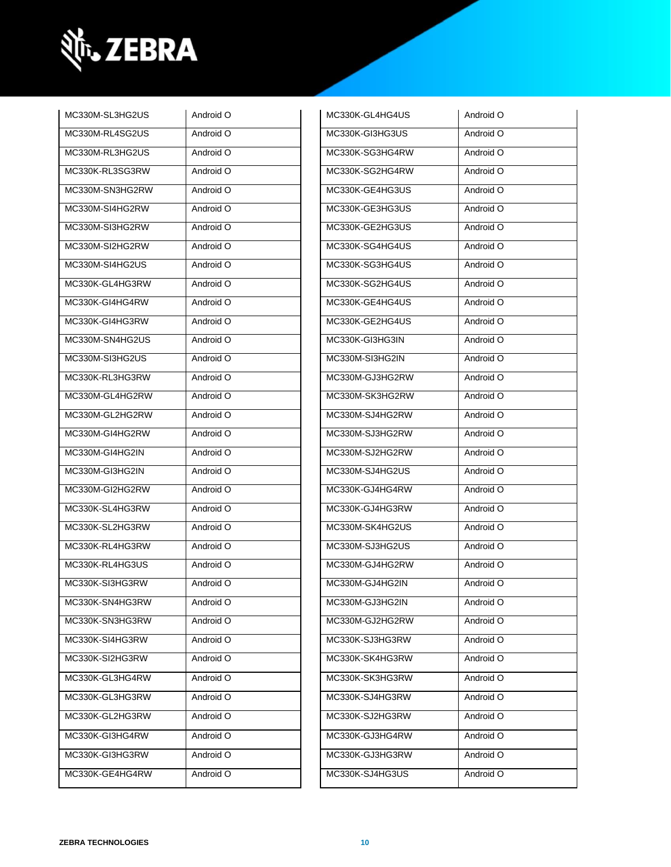

| MC330M-SL3HG2US | Android O | MC330K-GL4HG4US | Android O |
|-----------------|-----------|-----------------|-----------|
| MC330M-RL4SG2US | Android O | MC330K-GI3HG3US | Android O |
| MC330M-RL3HG2US | Android O | MC330K-SG3HG4RW | Android O |
| MC330K-RL3SG3RW | Android O | MC330K-SG2HG4RW | Android O |
| MC330M-SN3HG2RW | Android O | MC330K-GE4HG3US | Android O |
| MC330M-SI4HG2RW | Android O | MC330K-GE3HG3US | Android O |
| MC330M-SI3HG2RW | Android O | MC330K-GE2HG3US | Android O |
| MC330M-SI2HG2RW | Android O | MC330K-SG4HG4US | Android O |
| MC330M-SI4HG2US | Android O | MC330K-SG3HG4US | Android O |
| MC330K-GL4HG3RW | Android O | MC330K-SG2HG4US | Android O |
| MC330K-GI4HG4RW | Android O | MC330K-GE4HG4US | Android O |
| MC330K-GI4HG3RW | Android O | MC330K-GE2HG4US | Android O |
| MC330M-SN4HG2US | Android O | MC330K-GI3HG3IN | Android O |
| MC330M-SI3HG2US | Android O | MC330M-SI3HG2IN | Android O |
| MC330K-RL3HG3RW | Android O | MC330M-GJ3HG2RW | Android O |
| MC330M-GL4HG2RW | Android O | MC330M-SK3HG2RW | Android O |
| MC330M-GL2HG2RW | Android O | MC330M-SJ4HG2RW | Android O |
| MC330M-GI4HG2RW | Android O | MC330M-SJ3HG2RW | Android O |
| MC330M-GI4HG2IN | Android O | MC330M-SJ2HG2RW | Android O |
| MC330M-GI3HG2IN | Android O | MC330M-SJ4HG2US | Android O |
| MC330M-GI2HG2RW | Android O | MC330K-GJ4HG4RW | Android O |
| MC330K-SL4HG3RW | Android O | MC330K-GJ4HG3RW | Android O |
| MC330K-SL2HG3RW | Android O | MC330M-SK4HG2US | Android O |
| MC330K-RL4HG3RW | Android O | MC330M-SJ3HG2US | Android O |
| MC330K-RL4HG3US | Android O | MC330M-GJ4HG2RW | Android O |
| MC330K-SI3HG3RW | Android O | MC330M-GJ4HG2IN | Android O |
| MC330K-SN4HG3RW | Android O | MC330M-GJ3HG2IN | Android O |
| MC330K-SN3HG3RW | Android O | MC330M-GJ2HG2RW | Android O |
| MC330K-SI4HG3RW | Android O | MC330K-SJ3HG3RW | Android O |
| MC330K-SI2HG3RW | Android O | MC330K-SK4HG3RW | Android O |
| MC330K-GL3HG4RW | Android O | MC330K-SK3HG3RW | Android O |
| MC330K-GL3HG3RW | Android O | MC330K-SJ4HG3RW | Android O |
| MC330K-GL2HG3RW | Android O | MC330K-SJ2HG3RW | Android O |
| MC330K-GI3HG4RW | Android O | MC330K-GJ3HG4RW | Android O |
| MC330K-GI3HG3RW | Android O | MC330K-GJ3HG3RW | Android O |
| MC330K-GE4HG4RW | Android O | MC330K-SJ4HG3US | Android O |
|                 |           |                 |           |

| MC330K-GL4HG4US | Android O |
|-----------------|-----------|
| MC330K-GI3HG3US | Android O |
| MC330K-SG3HG4RW | Android O |
| MC330K-SG2HG4RW | Android O |
| MC330K-GE4HG3US | Android O |
| MC330K-GE3HG3US | Android O |
| MC330K-GE2HG3US | Android O |
| MC330K-SG4HG4US | Android O |
| MC330K-SG3HG4US | Android O |
| MC330K-SG2HG4US | Android O |
| MC330K-GE4HG4US | Android O |
| MC330K-GE2HG4US | Android O |
| MC330K-GI3HG3IN | Android O |
| MC330M-SI3HG2IN | Android O |
| MC330M-GJ3HG2RW | Android O |
| MC330M-SK3HG2RW | Android O |
| MC330M-SJ4HG2RW | Android O |
| MC330M-SJ3HG2RW | Android O |
| MC330M-SJ2HG2RW | Android O |
| MC330M-SJ4HG2US | Android O |
| MC330K-GJ4HG4RW | Android O |
| MC330K-GJ4HG3RW | Android O |
| MC330M-SK4HG2US | Android O |
| MC330M-SJ3HG2US | Android O |
| MC330M-GJ4HG2RW | Android O |
| MC330M-GJ4HG2IN | Android O |
| MC330M-GJ3HG2IN | Android O |
| MC330M-GJ2HG2RW | Android O |
| MC330K-SJ3HG3RW | Android O |
| MC330K-SK4HG3RW | Android O |
| MC330K-SK3HG3RW | Android O |
| MC330K-SJ4HG3RW | Android O |
| MC330K-SJ2HG3RW | Android O |
| MC330K-GJ3HG4RW | Android O |
| MC330K-GJ3HG3RW | Android O |
| MC330K-SJ4HG3US | Android O |
|                 |           |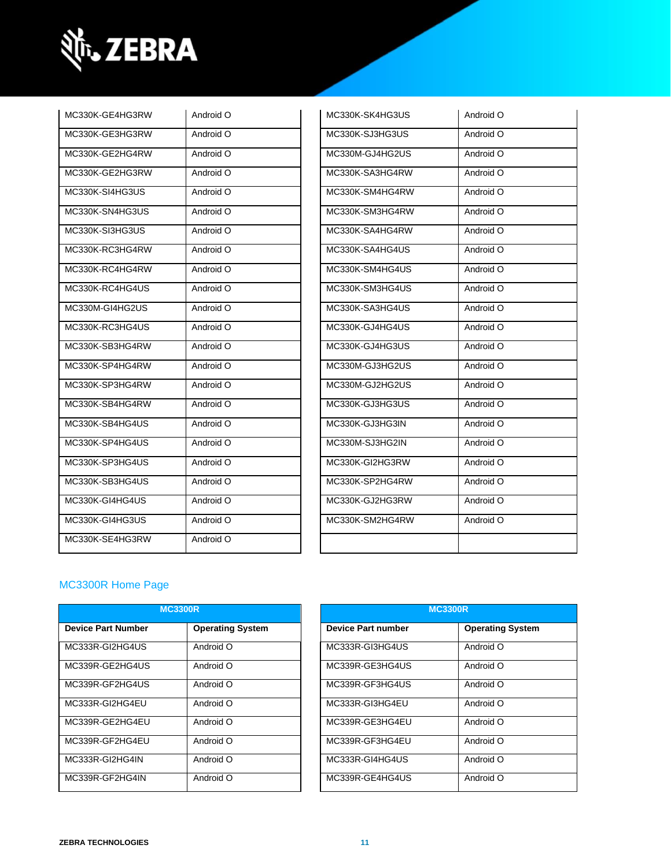

| MC330K-GE4HG3RW | Android O | MC330K-SK4HG3US | Android O |
|-----------------|-----------|-----------------|-----------|
| MC330K-GE3HG3RW | Android O | MC330K-SJ3HG3US | Android O |
| MC330K-GE2HG4RW | Android O | MC330M-GJ4HG2US | Android O |
| MC330K-GE2HG3RW | Android O | MC330K-SA3HG4RW | Android O |
| MC330K-SI4HG3US | Android O | MC330K-SM4HG4RW | Android O |
| MC330K-SN4HG3US | Android O | MC330K-SM3HG4RW | Android O |
| MC330K-SI3HG3US | Android O | MC330K-SA4HG4RW | Android O |
| MC330K-RC3HG4RW | Android O | MC330K-SA4HG4US | Android O |
| MC330K-RC4HG4RW | Android O | MC330K-SM4HG4US | Android O |
| MC330K-RC4HG4US | Android O | MC330K-SM3HG4US | Android O |
| MC330M-GI4HG2US | Android O | MC330K-SA3HG4US | Android O |
| MC330K-RC3HG4US | Android O | MC330K-GJ4HG4US | Android O |
| MC330K-SB3HG4RW | Android O | MC330K-GJ4HG3US | Android O |
| MC330K-SP4HG4RW | Android O | MC330M-GJ3HG2US | Android O |
| MC330K-SP3HG4RW | Android O | MC330M-GJ2HG2US | Android O |
| MC330K-SB4HG4RW | Android O | MC330K-GJ3HG3US | Android O |
| MC330K-SB4HG4US | Android O | MC330K-GJ3HG3IN | Android O |
| MC330K-SP4HG4US | Android O | MC330M-SJ3HG2IN | Android O |
| MC330K-SP3HG4US | Android O | MC330K-GI2HG3RW | Android O |
| MC330K-SB3HG4US | Android O | MC330K-SP2HG4RW | Android O |
| MC330K-GI4HG4US | Android O | MC330K-GJ2HG3RW | Android O |
| MC330K-GI4HG3US | Android O | MC330K-SM2HG4RW | Android O |
| MC330K-SE4HG3RW | Android O |                 |           |
|                 |           |                 |           |

| MC330K-SK4HG3US | Android O |
|-----------------|-----------|
| MC330K-SJ3HG3US | Android O |
| MC330M-GJ4HG2US | Android O |
| MC330K-SA3HG4RW | Android O |
| MC330K-SM4HG4RW | Android O |
| MC330K-SM3HG4RW | Android O |
| MC330K-SA4HG4RW | Android O |
| MC330K-SA4HG4US | Android O |
| MC330K-SM4HG4US | Android O |
| MC330K-SM3HG4US | Android O |
| MC330K-SA3HG4US | Android O |
| MC330K-GJ4HG4US | Android O |
| MC330K-GJ4HG3US | Android O |
| MC330M-GJ3HG2US | Android O |
| MC330M-GJ2HG2US | Android O |
| MC330K-GJ3HG3US | Android O |
| MC330K-GJ3HG3IN | Android O |
| MC330M-SJ3HG2IN | Android O |
| MC330K-GI2HG3RW | Android O |
| MC330K-SP2HG4RW | Android O |
| MC330K-GJ2HG3RW | Android O |
| MC330K-SM2HG4RW | Android O |
|                 |           |

### [MC3300R Home Page](https://www.zebra.com/us/en/support-downloads/rfid/rfid-handhelds/mc3300r.html)

|                           | <b>MC3300R</b>          |                    | <b>MC3300R</b>          |
|---------------------------|-------------------------|--------------------|-------------------------|
| <b>Device Part Number</b> | <b>Operating System</b> | Device Part number | <b>Operating System</b> |
| MC333R-GI2HG4US           | Android O               | MC333R-GI3HG4US    | Android O               |
| MC339R-GE2HG4US           | Android O               | MC339R-GE3HG4US    | Android O               |
| MC339R-GF2HG4US           | Android O               | MC339R-GF3HG4US    | Android O               |
| MC333R-GI2HG4EU           | Android O               | MC333R-GI3HG4EU    | Android O               |
| MC339R-GE2HG4EU           | Android O               | MC339R-GE3HG4EU    | Android O               |
| MC339R-GF2HG4EU           | Android O               | MC339R-GF3HG4EU    | Android O               |
| MC333R-GI2HG4IN           | Android O               | MC333R-GI4HG4US    | Android O               |
| MC339R-GF2HG4IN           | Android O               | MC339R-GE4HG4US    | Android O               |

| <b>MC3300R</b>          |                           | <b>MC3300R</b>          |
|-------------------------|---------------------------|-------------------------|
| <b>Operating System</b> | <b>Device Part number</b> | <b>Operating System</b> |
| Android O               | MC333R-GI3HG4US           | Android O               |
| Android O               | MC339R-GE3HG4US           | Android O               |
| Android O               | MC339R-GF3HG4US           | Android O               |
| Android O               | MC333R-GI3HG4EU           | Android O               |
| Android O               | MC339R-GE3HG4EU           | Android O               |
| Android O               | MC339R-GF3HG4EU           | Android O               |
| Android O               | MC333R-GI4HG4US           | Android O               |
| Android O               | MC339R-GE4HG4US           | Android O               |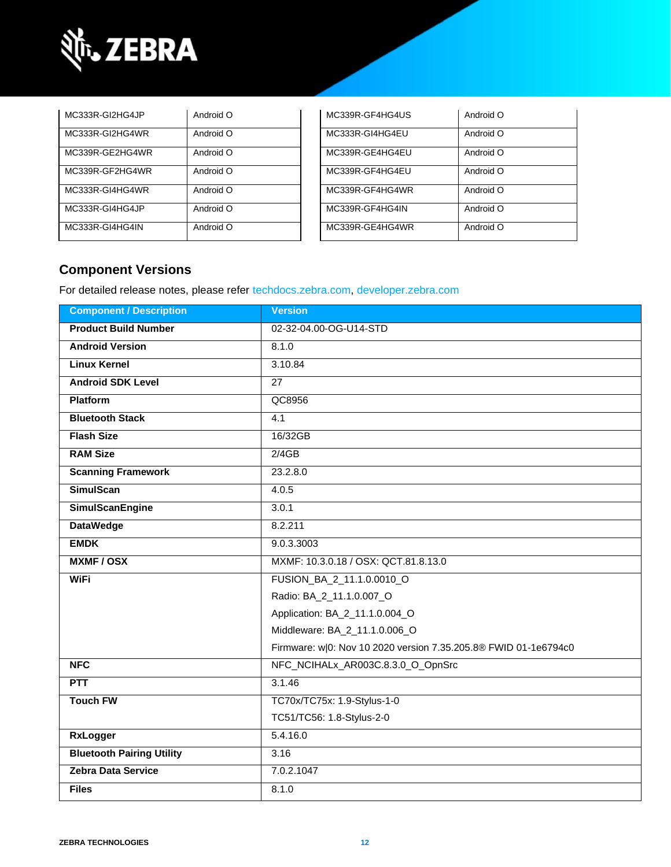

| MC333R-GI2HG4JP | Android O | MC339R-GF4HG4US | Android O |
|-----------------|-----------|-----------------|-----------|
| MC333R-GI2HG4WR | Android O | MC333R-GI4HG4EU | Android O |
| MC339R-GE2HG4WR | Android O | MC339R-GE4HG4EU | Android O |
| MC339R-GF2HG4WR | Android O | MC339R-GF4HG4EU | Android O |
| MC333R-GI4HG4WR | Android O | MC339R-GF4HG4WR | Android O |
| MC333R-GI4HG4JP | Android O | MC339R-GF4HG4IN | Android O |
| MC333R-GI4HG4IN | Android O | MC339R-GE4HG4WR | Android O |

| MC339R-GF4HG4US | Android O |
|-----------------|-----------|
| MC333R-GI4HG4EU | Android O |
| MC339R-GE4HG4EU | Android O |
| MC339R-GF4HG4EU | Android O |
| MC339R-GF4HG4WR | Android O |
| MC339R-GF4HG4IN | Android O |
| MC339R-GE4HG4WR | Android O |

## **Component Versions**

For detailed release notes, please refer [techdocs.zebra.com,](https://techdocs.zebra.com/) [developer.zebra.com](https://developer.zebra.com/)

| <b>Component / Description</b>   | <b>Version</b>                                                  |
|----------------------------------|-----------------------------------------------------------------|
| <b>Product Build Number</b>      | 02-32-04.00-OG-U14-STD                                          |
| <b>Android Version</b>           | 8.1.0                                                           |
| <b>Linux Kernel</b>              | 3.10.84                                                         |
| <b>Android SDK Level</b>         | 27                                                              |
| <b>Platform</b>                  | QC8956                                                          |
| <b>Bluetooth Stack</b>           | 4.1                                                             |
| <b>Flash Size</b>                | 16/32GB                                                         |
| <b>RAM Size</b>                  | 2/4GB                                                           |
| <b>Scanning Framework</b>        | 23.2.8.0                                                        |
| <b>SimulScan</b>                 | 4.0.5                                                           |
| <b>SimulScanEngine</b>           | 3.0.1                                                           |
| <b>DataWedge</b>                 | 8.2.211                                                         |
| <b>EMDK</b>                      | 9.0.3.3003                                                      |
| <b>MXMF/OSX</b>                  | MXMF: 10.3.0.18 / OSX: QCT.81.8.13.0                            |
| <b>WiFi</b>                      | FUSION BA 2 11.1.0.0010 O                                       |
|                                  | Radio: BA_2_11.1.0.007_O                                        |
|                                  | Application: BA_2_11.1.0.004_O                                  |
|                                  | Middleware: BA_2_11.1.0.006_O                                   |
|                                  | Firmware: w 0: Nov 10 2020 version 7.35.205.8® FWID 01-1e6794c0 |
| <b>NFC</b>                       | NFC_NCIHALx_AR003C.8.3.0_O_OpnSrc                               |
| <b>PTT</b>                       | 3.1.46                                                          |
| <b>Touch FW</b>                  | TC70x/TC75x: 1.9-Stylus-1-0                                     |
|                                  | TC51/TC56: 1.8-Stylus-2-0                                       |
| <b>RxLogger</b>                  | 5.4.16.0                                                        |
| <b>Bluetooth Pairing Utility</b> | 3.16                                                            |
| <b>Zebra Data Service</b>        | 7.0.2.1047                                                      |
| <b>Files</b>                     | 8.1.0                                                           |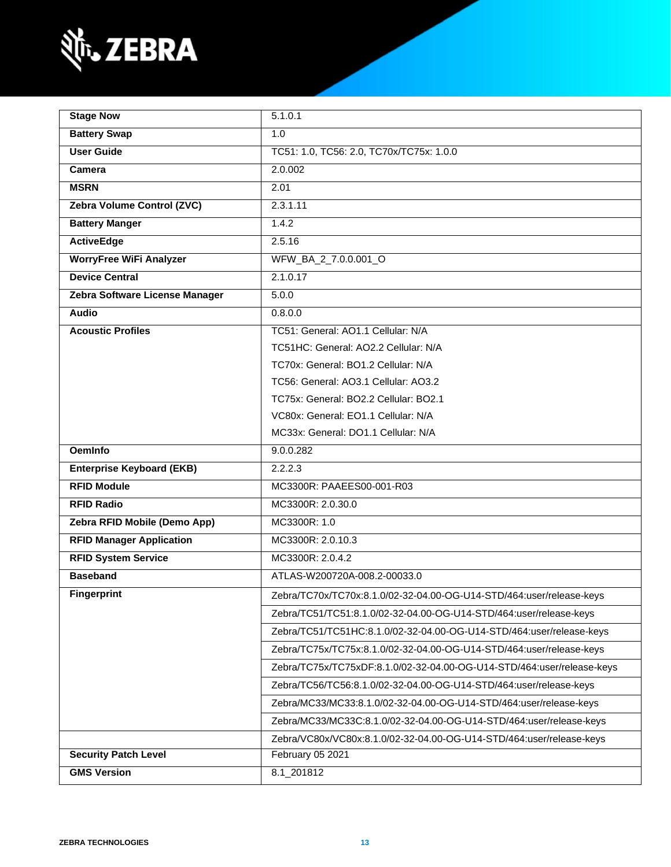

| <b>Stage Now</b>                 | 5.1.0.1                                                                |  |
|----------------------------------|------------------------------------------------------------------------|--|
| <b>Battery Swap</b>              | 1.0                                                                    |  |
| <b>User Guide</b>                | TC51: 1.0, TC56: 2.0, TC70x/TC75x: 1.0.0                               |  |
| Camera                           | 2.0.002                                                                |  |
| <b>MSRN</b>                      | 2.01                                                                   |  |
| Zebra Volume Control (ZVC)       | 2.3.1.11                                                               |  |
| <b>Battery Manger</b>            | 1.4.2                                                                  |  |
| <b>ActiveEdge</b>                | 2.5.16                                                                 |  |
| <b>WorryFree WiFi Analyzer</b>   | WFW_BA_2_7.0.0.001_O                                                   |  |
| <b>Device Central</b>            | 2.1.0.17                                                               |  |
| Zebra Software License Manager   | 5.0.0                                                                  |  |
| Audio                            | 0.8.0.0                                                                |  |
| <b>Acoustic Profiles</b>         | TC51: General: AO1.1 Cellular: N/A                                     |  |
|                                  | TC51HC: General: AO2.2 Cellular: N/A                                   |  |
|                                  | TC70x: General: BO1.2 Cellular: N/A                                    |  |
|                                  | TC56: General: AO3.1 Cellular: AO3.2                                   |  |
|                                  | TC75x: General: BO2.2 Cellular: BO2.1                                  |  |
|                                  | VC80x: General: EO1.1 Cellular: N/A                                    |  |
|                                  | MC33x: General: DO1.1 Cellular: N/A                                    |  |
| <b>OemInfo</b>                   | 9.0.0.282                                                              |  |
| <b>Enterprise Keyboard (EKB)</b> | 2.2.2.3                                                                |  |
| <b>RFID Module</b>               | MC3300R: PAAEES00-001-R03                                              |  |
| <b>RFID Radio</b>                | MC3300R: 2.0.30.0                                                      |  |
| Zebra RFID Mobile (Demo App)     | MC3300R: 1.0                                                           |  |
| <b>RFID Manager Application</b>  | MC3300R: 2.0.10.3                                                      |  |
| <b>RFID System Service</b>       | MC3300R: 2.0.4.2                                                       |  |
| <b>Baseband</b>                  | ATLAS-W200720A-008.2-00033.0                                           |  |
| <b>Fingerprint</b>               | Zebra/TC70x/TC70x:8.1.0/02-32-04.00-OG-U14-STD/464:user/release-keys   |  |
|                                  | Zebra/TC51/TC51:8.1.0/02-32-04.00-OG-U14-STD/464:user/release-keys     |  |
|                                  | Zebra/TC51/TC51HC:8.1.0/02-32-04.00-OG-U14-STD/464:user/release-keys   |  |
|                                  | Zebra/TC75x/TC75x:8.1.0/02-32-04.00-OG-U14-STD/464:user/release-keys   |  |
|                                  | Zebra/TC75x/TC75xDF:8.1.0/02-32-04.00-OG-U14-STD/464:user/release-keys |  |
|                                  | Zebra/TC56/TC56:8.1.0/02-32-04.00-OG-U14-STD/464:user/release-keys     |  |
|                                  | Zebra/MC33/MC33:8.1.0/02-32-04.00-OG-U14-STD/464:user/release-keys     |  |
|                                  | Zebra/MC33/MC33C:8.1.0/02-32-04.00-OG-U14-STD/464:user/release-keys    |  |
|                                  | Zebra/VC80x/VC80x:8.1.0/02-32-04.00-OG-U14-STD/464:user/release-keys   |  |
| <b>Security Patch Level</b>      | February 05 2021                                                       |  |
| <b>GMS Version</b>               | 8.1_201812                                                             |  |